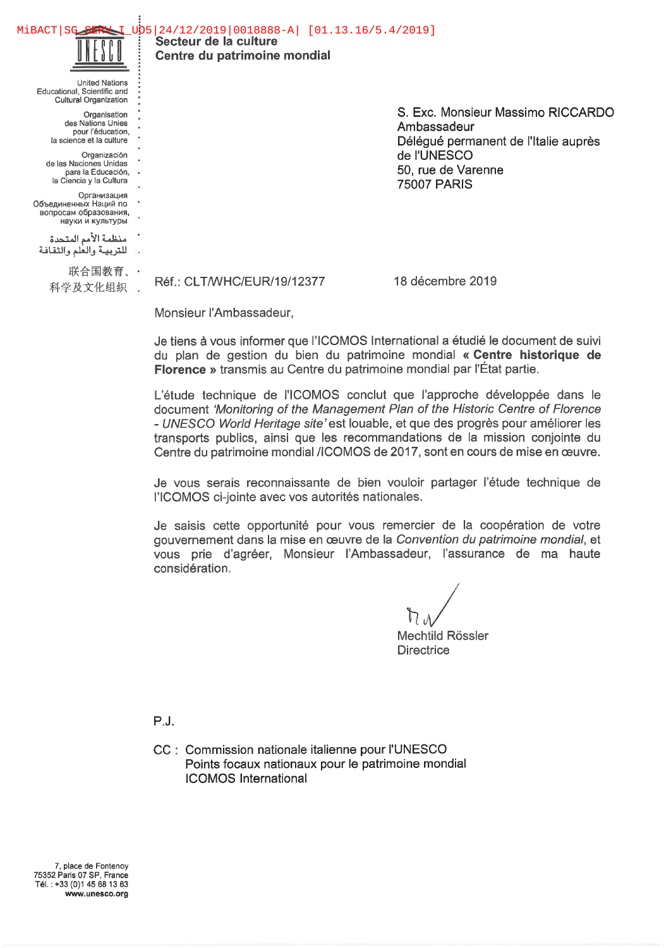Secteur de la culture Centre du patrimoine mondial MiBACT|SG\_SERV I\_UO5|24/12/2019|0018888-A| [01.13.16/5.4/2019]

United Nations Educational, Scientific and Cultural Organization **Organisation** des Nations Unies pour l'éducation, la science et la culture Organizaciôn de las Naciones Unidas para la Educaciôn, la Ciencia y la Cultura **Организация** 

Объединенных Наций по вопросам образования, науки и культуры منظمة الأمم المتحدة للتربية والعلم والثقافة

联合国教育、

S. Exc. Monsieur Massimo RICCARDO Ambassadeur Délégué permanent de l'Italie auprès de l'UNESCO 50, rue de Varenne 75007 PARIS

科学及文化组织 . Réf.: CLT/WHC/EUR/19/12377 18 décembre 2019

Monsieur l'Ambassadeur,

Je tiens à vous informer que l'ICOMOS International a étudié le document de suivi du plan de gestion du bien du patrimoine mondial « Centre historique de Florence » transmis au Centre du patrimoine mondial par l'Etat partie.

L'étude technique de l'ICOMOS conclut que l'approche développée dans le document 'Monitoring of the Management Plan of the Historic Centre of Florence - UNESCO World Heritage site' est louable, et que des progrès pour améliorer les transports publics, ainsi que les recommandations de la mission conjointe du Centre du patrimoine mondial /ICOMOS de 2017, sont en cours de mise en ouvre.

Je vous serais reconnaissante de bien vouloir partager l'étude technique de l'ICOMOS ci-jointe avec vos autorités nationales.

Je saisis cette opportunité pour vous remercier de la coopération de votre gouvernement dans la mise en œuvre de la Convention du patrimoine mondial, et vous prie d'agréer, Monsieur l'Ambassadeur, l'assurance de ma haute considération.

Mechtild Rôssler **Directrice** 

P. J.

CC : Commission nationale italienne pour l'UNESCO Points focaux nationaux pour le patrimoine mondial ICOMOS International

7, place de Fontenoy 75352 Paris 07 SP, France Tél. :+33(0)1 45 68 13 63 www.unesco.org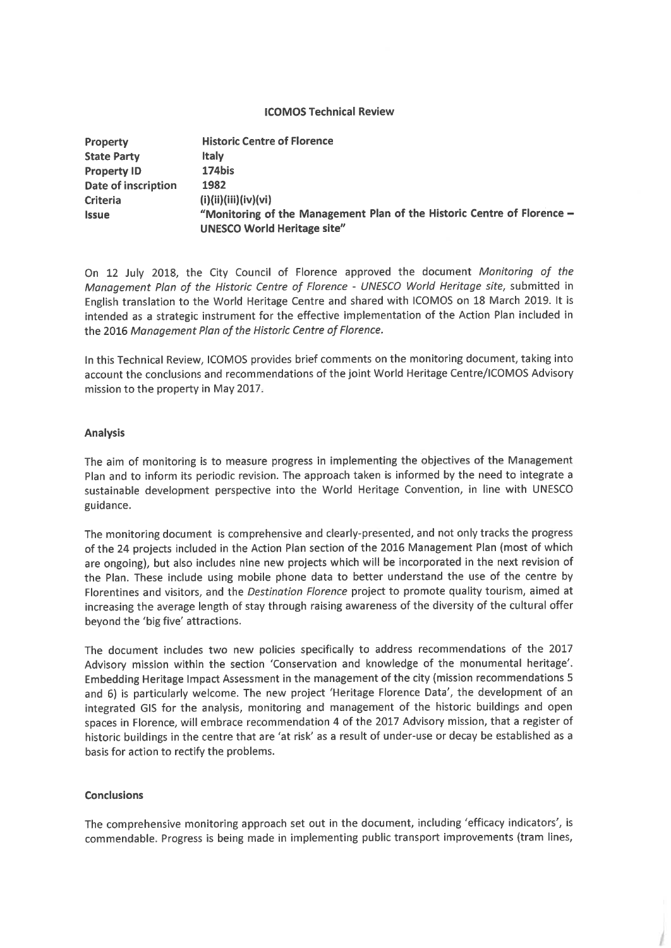## ICOMOS Technical Review

| <b>Property</b>            | <b>Historic Centre of Florence</b>                                      |
|----------------------------|-------------------------------------------------------------------------|
| <b>State Party</b>         | <b>Italy</b>                                                            |
| <b>Property ID</b>         | 174bis                                                                  |
| <b>Date of inscription</b> | 1982                                                                    |
| <b>Criteria</b>            | (i)(ii)(iii)(iv)(vi)                                                    |
| <b>Issue</b>               | "Monitoring of the Management Plan of the Historic Centre of Florence - |
|                            | <b>UNESCO World Heritage site"</b>                                      |

On 12 July 2018, the City Council of Florence approved the document Monitoring of the Management Plan of the Historic Centre of Florence - UNESCO World Heritage site, submitted in English translation to the World Heritage Centre and shared with ICOMOS on 18 March 2019. It is intended as a strategic instrument for the effective implementation of the Action Plan included in the 2016 Management Plan of the Historic Centre of Florence.

In this Technical Review, ICOMOS provides brief comments on the monitoring document, taking into account the conclusions and recommendations of the joint World Heritage Centre/ICOMOS Advisory mission to the property in May 2017.

## Analysis

The aim of monitoring is to measure progress in implementing the objectives of the Management Plan and to inform its periodic revision. The approach taken is informed by the need to integrate a sustainable development perspective into the World Heritage Convention, in line with UNESCO guidance.

The monitoring document is comprehensive and clearly-presented, and not only tracks the progress of thé 24 projects included in thé Action Plan section of thé 2016 Management Plan (most of which are ongoing), but also includes nine new projects which will be incorporated in the next revision of the Plan. These include using mobile phone data to better understand the use of the centre by Florentines and visitors, and the Destination Florence project to promote quality tourism, aimed at increasing the average length of stay through raising awareness of the diversity of the cultural offer beyond the 'big five' attractions.

The document includes two new policies specifically to address recommendations of the 2017 Advisory mission within the section 'Conservation and knowledge of the monumental heritage'. Embedding Heritage Impact Assessment in the management of the city (mission recommendations 5 and 6) is particularly welcome. The new project 'Heritage Florence Data', the development of an integrated GIS for the analysis, monitoring and management of the historic buildings and open spaces in Florence, will embrace recommendation 4 of the 2017 Advisory mission, that a register of historic buildings in the centre that are 'at risk' as a result of under-use or decay be established as a basis for action to rectify thé problems.

## **Conclusions**

The comprehensive monitoring approach set out in the document, including 'efficacy indicators', is commendable. Progress is being made in implementing public transport improvements (tram lines,